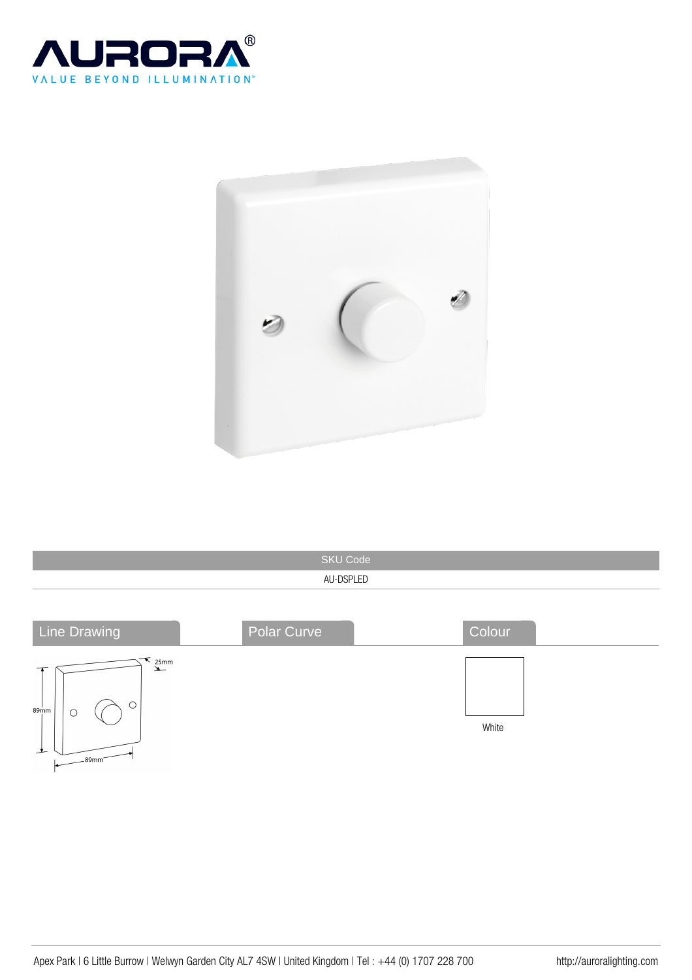



| <b>SKU Code</b> |  |
|-----------------|--|
| AU-DSPLED       |  |